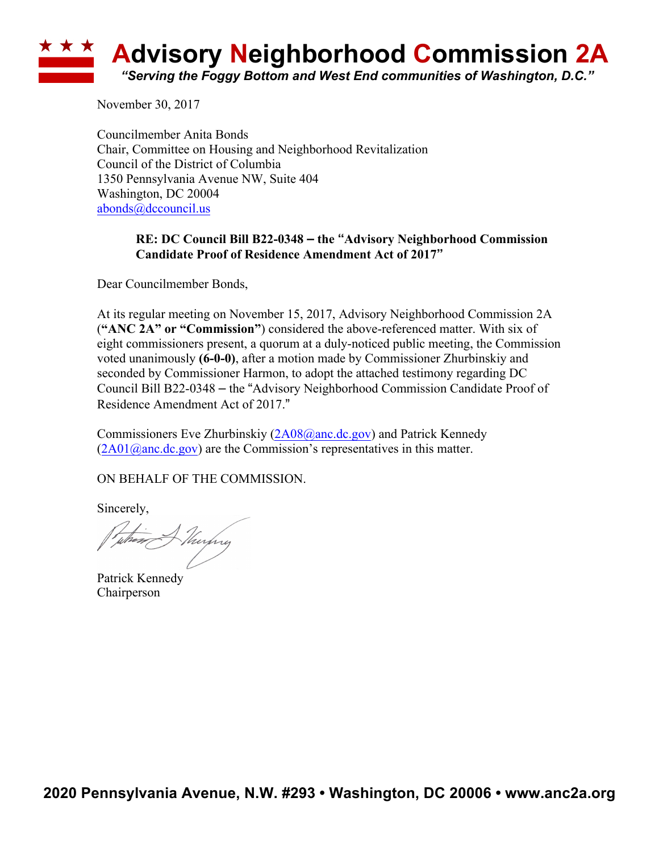# **<u><b>\*\*\***</u> Advisory Neighborhood Commission 2A *"Serving the Foggy Bottom and West End communities of Washington, D.C."*

November 30, 2017

Councilmember Anita Bonds Chair, Committee on Housing and Neighborhood Revitalization Council of the District of Columbia 1350 Pennsylvania Avenue NW, Suite 404 Washington, DC 20004 abonds@dccouncil.us

### **RE: DC Council Bill B22-0348 – the "Advisory Neighborhood Commission Candidate Proof of Residence Amendment Act of 2017"**

Dear Councilmember Bonds,

At its regular meeting on November 15, 2017, Advisory Neighborhood Commission 2A (**"ANC 2A" or "Commission"**) considered the above-referenced matter. With six of eight commissioners present, a quorum at a duly-noticed public meeting, the Commission voted unanimously **(6-0-0)**, after a motion made by Commissioner Zhurbinskiy and seconded by Commissioner Harmon, to adopt the attached testimony regarding DC Council Bill B22-0348 – the "Advisory Neighborhood Commission Candidate Proof of Residence Amendment Act of 2017."

Commissioners Eve Zhurbinskiy (2A08@anc.dc.gov) and Patrick Kennedy  $(2A01@anc.de.gov)$  are the Commission's representatives in this matter.

ON BEHALF OF THE COMMISSION.

Sincerely,

the Alushy

Patrick Kennedy Chairperson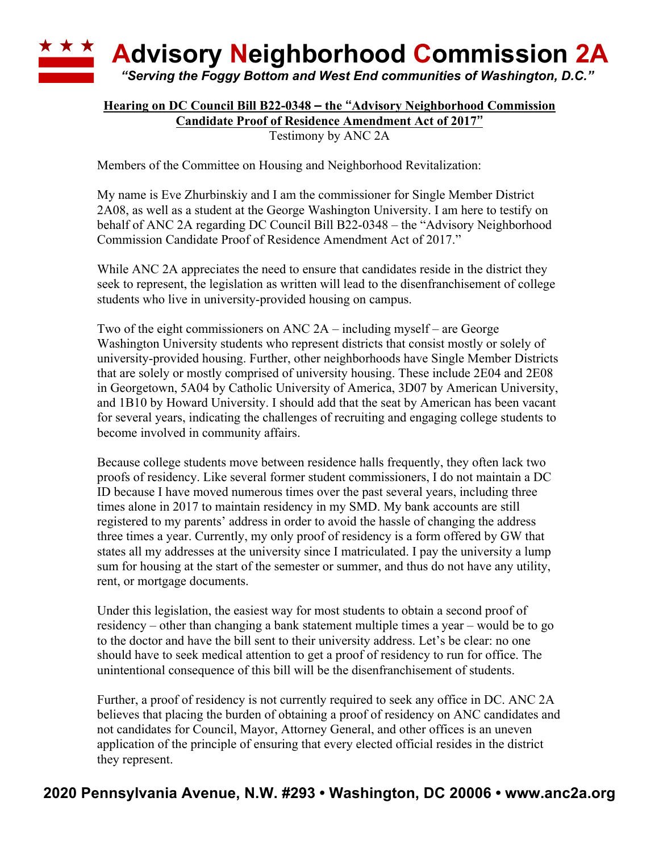## **\* \* \* Advisory Neighborhood Commission 2A** *"Serving the Foggy Bottom and West End communities of Washington, D.C."*

#### **Hearing on DC Council Bill B22-0348 – the "Advisory Neighborhood Commission Candidate Proof of Residence Amendment Act of 2017"**

Testimony by ANC 2A

Members of the Committee on Housing and Neighborhood Revitalization:

My name is Eve Zhurbinskiy and I am the commissioner for Single Member District 2A08, as well as a student at the George Washington University. I am here to testify on behalf of ANC 2A regarding DC Council Bill B22-0348 – the "Advisory Neighborhood Commission Candidate Proof of Residence Amendment Act of 2017."

While ANC 2A appreciates the need to ensure that candidates reside in the district they seek to represent, the legislation as written will lead to the disenfranchisement of college students who live in university-provided housing on campus.

Two of the eight commissioners on ANC 2A – including myself – are George Washington University students who represent districts that consist mostly or solely of university-provided housing. Further, other neighborhoods have Single Member Districts that are solely or mostly comprised of university housing. These include 2E04 and 2E08 in Georgetown, 5A04 by Catholic University of America, 3D07 by American University, and 1B10 by Howard University. I should add that the seat by American has been vacant for several years, indicating the challenges of recruiting and engaging college students to become involved in community affairs.

Because college students move between residence halls frequently, they often lack two proofs of residency. Like several former student commissioners, I do not maintain a DC ID because I have moved numerous times over the past several years, including three times alone in 2017 to maintain residency in my SMD. My bank accounts are still registered to my parents' address in order to avoid the hassle of changing the address three times a year. Currently, my only proof of residency is a form offered by GW that states all my addresses at the university since I matriculated. I pay the university a lump sum for housing at the start of the semester or summer, and thus do not have any utility, rent, or mortgage documents.

Under this legislation, the easiest way for most students to obtain a second proof of residency – other than changing a bank statement multiple times a year – would be to go to the doctor and have the bill sent to their university address. Let's be clear: no one should have to seek medical attention to get a proof of residency to run for office. The unintentional consequence of this bill will be the disenfranchisement of students.

Further, a proof of residency is not currently required to seek any office in DC. ANC 2A believes that placing the burden of obtaining a proof of residency on ANC candidates and not candidates for Council, Mayor, Attorney General, and other offices is an uneven application of the principle of ensuring that every elected official resides in the district they represent.

## **2020 Pennsylvania Avenue, N.W. #293 • Washington, DC 20006 • www.anc2a.org**